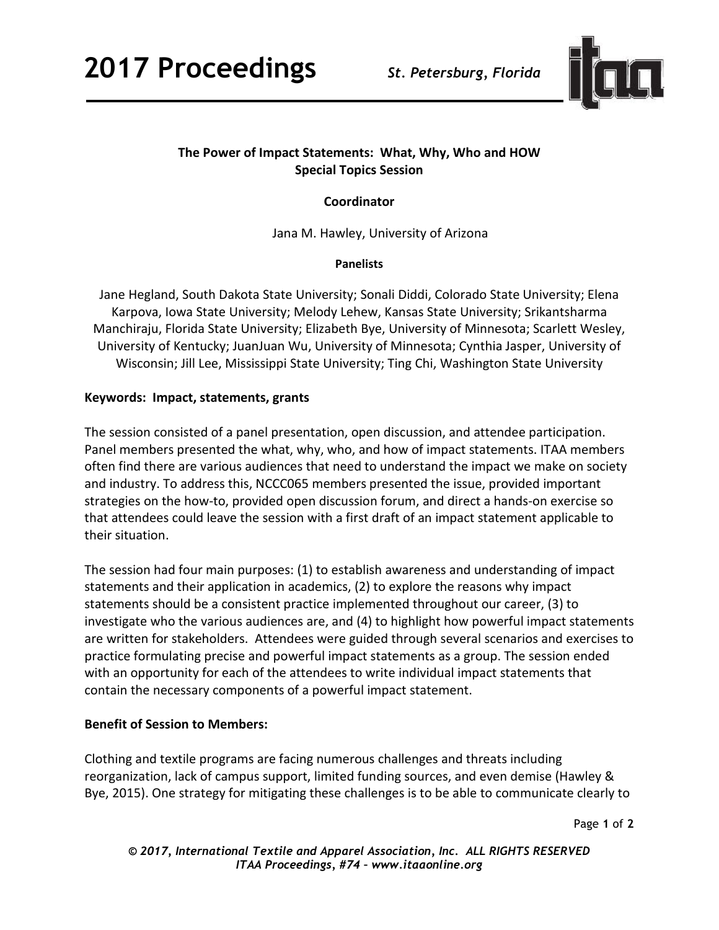

# **The Power of Impact Statements: What, Why, Who and HOW Special Topics Session**

# **Coordinator**

Jana M. Hawley, University of Arizona

#### **Panelists**

Jane Hegland, South Dakota State University; Sonali Diddi, Colorado State University; Elena Karpova, Iowa State University; Melody Lehew, Kansas State University; Srikantsharma Manchiraju, Florida State University; Elizabeth Bye, University of Minnesota; Scarlett Wesley, University of Kentucky; JuanJuan Wu, University of Minnesota; Cynthia Jasper, University of Wisconsin; Jill Lee, Mississippi State University; Ting Chi, Washington State University

### **Keywords: Impact, statements, grants**

The session consisted of a panel presentation, open discussion, and attendee participation. Panel members presented the what, why, who, and how of impact statements. ITAA members often find there are various audiences that need to understand the impact we make on society and industry. To address this, NCCC065 members presented the issue, provided important strategies on the how-to, provided open discussion forum, and direct a hands-on exercise so that attendees could leave the session with a first draft of an impact statement applicable to their situation.

The session had four main purposes: (1) to establish awareness and understanding of impact statements and their application in academics, (2) to explore the reasons why impact statements should be a consistent practice implemented throughout our career, (3) to investigate who the various audiences are, and (4) to highlight how powerful impact statements are written for stakeholders. Attendees were guided through several scenarios and exercises to practice formulating precise and powerful impact statements as a group. The session ended with an opportunity for each of the attendees to write individual impact statements that contain the necessary components of a powerful impact statement.

### **Benefit of Session to Members:**

Clothing and textile programs are facing numerous challenges and threats including reorganization, lack of campus support, limited funding sources, and even demise (Hawley & Bye, 2015). One strategy for mitigating these challenges is to be able to communicate clearly to

Page **1** of **2** 

*© 2017, International Textile and Apparel Association, Inc. ALL RIGHTS RESERVED ITAA Proceedings, #74 – www.itaaonline.org*